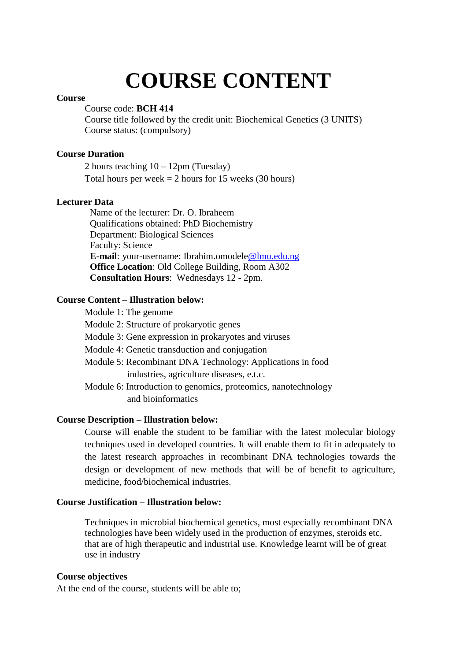# **COURSE CONTENT**

#### **Course**

Course code: **BCH 414**

Course title followed by the credit unit: Biochemical Genetics (3 UNITS) Course status: (compulsory)

## **Course Duration**

2 hours teaching  $10 - 12$ pm (Tuesday) Total hours per week  $= 2$  hours for 15 weeks (30 hours)

#### **Lecturer Data**

Name of the lecturer: Dr. O. Ibraheem Qualifications obtained: PhD Biochemistry Department: Biological Sciences Faculty: Science **E-mail**: your-username: Ibrahim.omodele@lmu.edu.ng **Office Location**: Old College Building, Room A302 **Consultation Hours**: Wednesdays 12 - 2pm.

## **Course Content – Illustration below:**

| Module 1: The genome                                           |
|----------------------------------------------------------------|
| Module 2: Structure of prokaryotic genes                       |
| Module 3: Gene expression in prokaryotes and viruses           |
| Module 4: Genetic transduction and conjugation                 |
| Module 5: Recombinant DNA Technology: Applications in food     |
| industries, agriculture diseases, e.t.c.                       |
| Module 6: Introduction to genomics, proteomics, nanotechnology |
| and bioinformatics                                             |
|                                                                |

## **Course Description – Illustration below:**

Course will enable the student to be familiar with the latest molecular biology techniques used in developed countries. It will enable them to fit in adequately to the latest research approaches in recombinant DNA technologies towards the design or development of new methods that will be of benefit to agriculture, medicine, food/biochemical industries.

#### **Course Justification – Illustration below:**

Techniques in microbial biochemical genetics, most especially recombinant DNA technologies have been widely used in the production of enzymes, steroids etc. that are of high therapeutic and industrial use. Knowledge learnt will be of great use in industry

#### **Course objectives**

At the end of the course, students will be able to;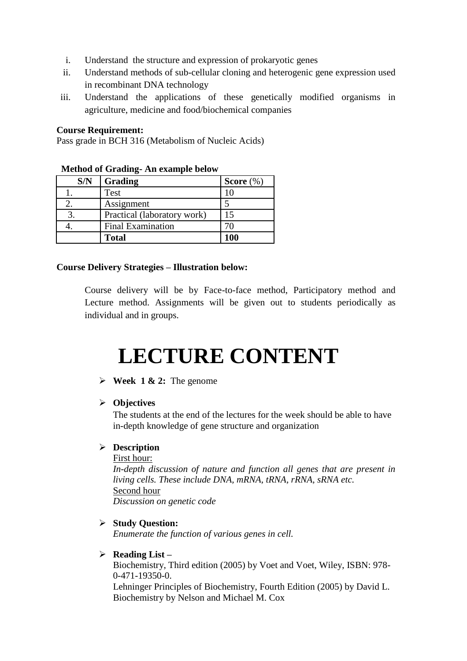- i. Understand the structure and expression of prokaryotic genes
- ii. Understand methods of sub-cellular cloning and heterogenic gene expression used in recombinant DNA technology
- iii. Understand the applications of these genetically modified organisms in agriculture, medicine and food/biochemical companies

#### **Course Requirement:**

Pass grade in BCH 316 (Metabolism of Nucleic Acids)

| method of Gruding Tim example below |                             |              |  |
|-------------------------------------|-----------------------------|--------------|--|
| S/N                                 | Grading                     | Score $(\%)$ |  |
|                                     | Test                        | 10           |  |
|                                     | Assignment                  |              |  |
|                                     | Practical (laboratory work) | 15           |  |
|                                     | <b>Final Examination</b>    | 70           |  |
|                                     | <b>Total</b>                | <b>100</b>   |  |

## **Method of Grading- An example below**

## **Course Delivery Strategies – Illustration below:**

Course delivery will be by Face-to-face method, Participatory method and Lecture method. Assignments will be given out to students periodically as individual and in groups.

## **LECTURE CONTENT**

## $\triangleright$  **Week 1 & 2:** The genome

#### **Objectives**

The students at the end of the lectures for the week should be able to have in-depth knowledge of gene structure and organization

#### **Description**

First hour: *In-depth discussion of nature and function all genes that are present in living cells. These include DNA, mRNA, tRNA, rRNA, sRNA etc.*  Second hour *Discussion on genetic code*

#### **Study Question:**

*Enumerate the function of various genes in cell.*

## **Reading List –**

Biochemistry, Third edition (2005) by Voet and Voet, Wiley, ISBN: 978- 0-471-19350-0.

Lehninger Principles of Biochemistry, Fourth Edition (2005) by David L. Biochemistry by Nelson and Michael M. Cox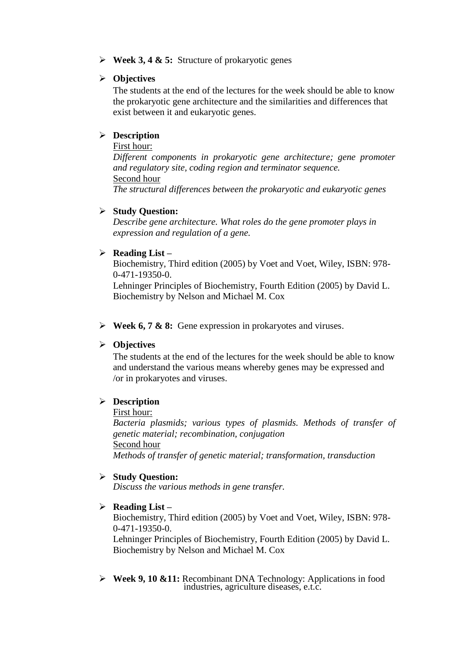**Week 3, 4 & 5:** Structure of prokaryotic genes

## **Objectives**

The students at the end of the lectures for the week should be able to know the prokaryotic gene architecture and the similarities and differences that exist between it and eukaryotic genes.

## **Description**

## First hour:

*Different components in prokaryotic gene architecture; gene promoter and regulatory site, coding region and terminator sequence.*  Second hour

*The structural differences between the prokaryotic and eukaryotic genes*

## **Study Question:**

*Describe gene architecture. What roles do the gene promoter plays in expression and regulation of a gene.*

## **Reading List –**

Biochemistry, Third edition (2005) by Voet and Voet, Wiley, ISBN: 978- 0-471-19350-0.

Lehninger Principles of Biochemistry, Fourth Edition (2005) by David L. Biochemistry by Nelson and Michael M. Cox

**Week 6, 7 & 8:** Gene expression in prokaryotes and viruses.

## **Objectives**

The students at the end of the lectures for the week should be able to know and understand the various means whereby genes may be expressed and /or in prokaryotes and viruses.

## **Description**

#### First hour:

*Bacteria plasmids; various types of plasmids. Methods of transfer of genetic material; recombination, conjugation* Second hour *Methods of transfer of genetic material; transformation, transduction*

#### **Study Question:**

*Discuss the various methods in gene transfer.*

#### **Reading List –**

Biochemistry, Third edition (2005) by Voet and Voet, Wiley, ISBN: 978- 0-471-19350-0.

Lehninger Principles of Biochemistry, Fourth Edition (2005) by David L. Biochemistry by Nelson and Michael M. Cox

 **Week 9, 10 &11:** Recombinant DNA Technology: Applications in food industries, agriculture diseases, e.t.c.